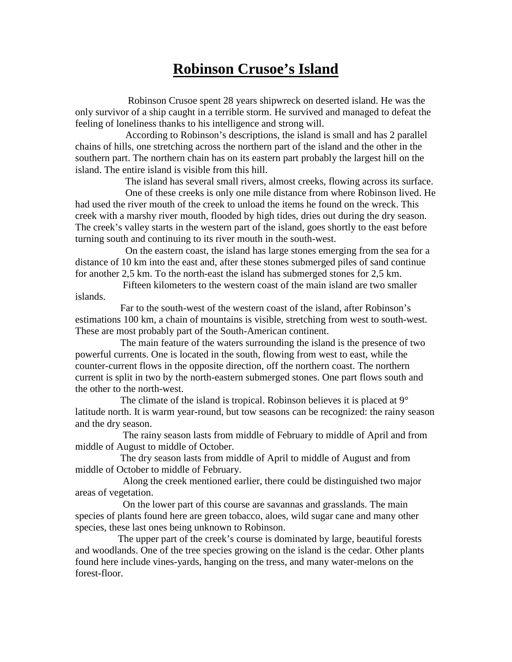## **Robinson Crusoe's Island**

 Robinson Crusoe spent 28 years shipwreck on deserted island. He was the only survivor of a ship caught in a terrible storm. He survived and managed to defeat the feeling of loneliness thanks to his intelligence and strong will.

 According to Robinson's descriptions, the island is small and has 2 parallel chains of hills, one stretching across the northern part of the island and the other in the southern part. The northern chain has on its eastern part probably the largest hill on the island. The entire island is visible from this hill.

The island has several small rivers, almost creeks, flowing across its surface.

 One of these creeks is only one mile distance from where Robinson lived. He had used the river mouth of the creek to unload the items he found on the wreck. This creek with a marshy river mouth, flooded by high tides, dries out during the dry season. The creek's valley starts in the western part of the island, goes shortly to the east before turning south and continuing to its river mouth in the south-west.

 On the eastern coast, the island has large stones emerging from the sea for a distance of 10 km into the east and, after these stones submerged piles of sand continue for another 2,5 km. To the north-east the island has submerged stones for 2,5 km.

 Fifteen kilometers to the western coast of the main island are two smaller islands.

 Far to the south-west of the western coast of the island, after Robinson's estimations 100 km, a chain of mountains is visible, stretching from west to south-west. These are most probably part of the South-American continent.

 The main feature of the waters surrounding the island is the presence of two powerful currents. One is located in the south, flowing from west to east, while the counter-current flows in the opposite direction, off the northern coast. The northern current is split in two by the north-eastern submerged stones. One part flows south and the other to the north-west.

The climate of the island is tropical. Robinson believes it is placed at  $9^{\circ}$ latitude north. It is warm year-round, but tow seasons can be recognized: the rainy season and the dry season.

 The rainy season lasts from middle of February to middle of April and from middle of August to middle of October.

 The dry season lasts from middle of April to middle of August and from middle of October to middle of February.

 Along the creek mentioned earlier, there could be distinguished two major areas of vegetation.

 On the lower part of this course are savannas and grasslands. The main species of plants found here are green tobacco, aloes, wild sugar cane and many other species, these last ones being unknown to Robinson.

 The upper part of the creek's course is dominated by large, beautiful forests and woodlands. One of the tree species growing on the island is the cedar. Other plants found here include vines-yards, hanging on the tress, and many water-melons on the forest-floor.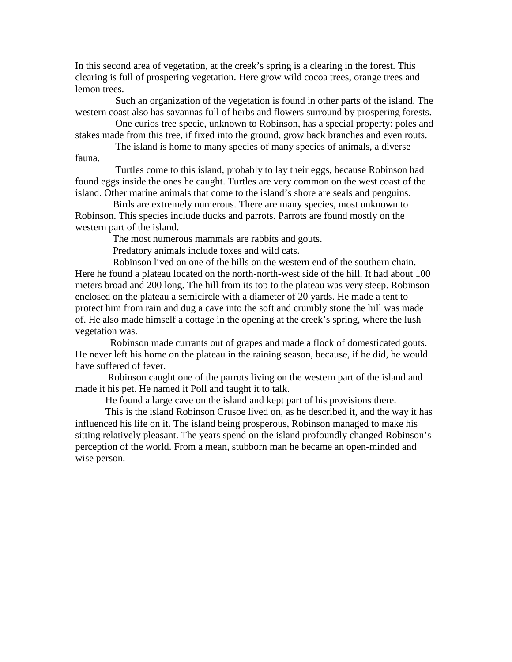In this second area of vegetation, at the creek's spring is a clearing in the forest. This clearing is full of prospering vegetation. Here grow wild cocoa trees, orange trees and lemon trees.

 Such an organization of the vegetation is found in other parts of the island. The western coast also has savannas full of herbs and flowers surround by prospering forests.

 One curios tree specie, unknown to Robinson, has a special property: poles and stakes made from this tree, if fixed into the ground, grow back branches and even routs.

 The island is home to many species of many species of animals, a diverse fauna.

 Turtles come to this island, probably to lay their eggs, because Robinson had found eggs inside the ones he caught. Turtles are very common on the west coast of the island. Other marine animals that come to the island's shore are seals and penguins.

 Birds are extremely numerous. There are many species, most unknown to Robinson. This species include ducks and parrots. Parrots are found mostly on the western part of the island.

The most numerous mammals are rabbits and gouts.

Predatory animals include foxes and wild cats.

 Robinson lived on one of the hills on the western end of the southern chain. Here he found a plateau located on the north-north-west side of the hill. It had about 100 meters broad and 200 long. The hill from its top to the plateau was very steep. Robinson enclosed on the plateau a semicircle with a diameter of 20 yards. He made a tent to protect him from rain and dug a cave into the soft and crumbly stone the hill was made of. He also made himself a cottage in the opening at the creek's spring, where the lush vegetation was.

 Robinson made currants out of grapes and made a flock of domesticated gouts. He never left his home on the plateau in the raining season, because, if he did, he would have suffered of fever.

 Robinson caught one of the parrots living on the western part of the island and made it his pet. He named it Poll and taught it to talk.

He found a large cave on the island and kept part of his provisions there.

 This is the island Robinson Crusoe lived on, as he described it, and the way it has influenced his life on it. The island being prosperous, Robinson managed to make his sitting relatively pleasant. The years spend on the island profoundly changed Robinson's perception of the world. From a mean, stubborn man he became an open-minded and wise person.